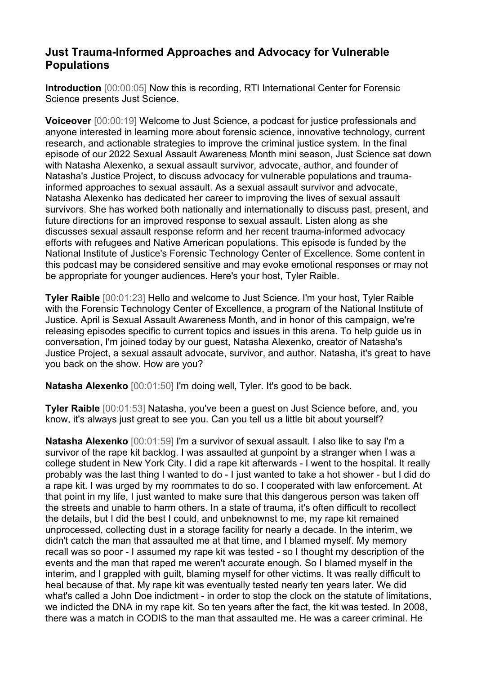## **Just Trauma-Informed Approaches and Advocacy for Vulnerable Populations**

**Introduction** [00:00:05] Now this is recording, RTI International Center for Forensic Science presents Just Science.

**Voiceover** [00:00:19] Welcome to Just Science, a podcast for justice professionals and anyone interested in learning more about forensic science, innovative technology, current research, and actionable strategies to improve the criminal justice system. In the final episode of our 2022 Sexual Assault Awareness Month mini season, Just Science sat down with Natasha Alexenko, a sexual assault survivor, advocate, author, and founder of Natasha's Justice Project, to discuss advocacy for vulnerable populations and traumainformed approaches to sexual assault. As a sexual assault survivor and advocate, Natasha Alexenko has dedicated her career to improving the lives of sexual assault survivors. She has worked both nationally and internationally to discuss past, present, and future directions for an improved response to sexual assault. Listen along as she discusses sexual assault response reform and her recent trauma-informed advocacy efforts with refugees and Native American populations. This episode is funded by the National Institute of Justice's Forensic Technology Center of Excellence. Some content in this podcast may be considered sensitive and may evoke emotional responses or may not be appropriate for younger audiences. Here's your host, Tyler Raible.

**Tyler Raible** [00:01:23] Hello and welcome to Just Science. I'm your host, Tyler Raible with the Forensic Technology Center of Excellence, a program of the National Institute of Justice. April is Sexual Assault Awareness Month, and in honor of this campaign, we're releasing episodes specific to current topics and issues in this arena. To help guide us in conversation, I'm joined today by our guest, Natasha Alexenko, creator of Natasha's Justice Project, a sexual assault advocate, survivor, and author. Natasha, it's great to have you back on the show. How are you?

**Natasha Alexenko** [00:01:50] I'm doing well, Tyler. It's good to be back.

**Tyler Raible** [00:01:53] Natasha, you've been a guest on Just Science before, and, you know, it's always just great to see you. Can you tell us a little bit about yourself?

**Natasha Alexenko** [00:01:59] I'm a survivor of sexual assault. I also like to say I'm a survivor of the rape kit backlog. I was assaulted at gunpoint by a stranger when I was a college student in New York City. I did a rape kit afterwards - I went to the hospital. It really probably was the last thing I wanted to do - I just wanted to take a hot shower - but I did do a rape kit. I was urged by my roommates to do so. I cooperated with law enforcement. At that point in my life, I just wanted to make sure that this dangerous person was taken off the streets and unable to harm others. In a state of trauma, it's often difficult to recollect the details, but I did the best I could, and unbeknownst to me, my rape kit remained unprocessed, collecting dust in a storage facility for nearly a decade. In the interim, we didn't catch the man that assaulted me at that time, and I blamed myself. My memory recall was so poor - I assumed my rape kit was tested - so I thought my description of the events and the man that raped me weren't accurate enough. So I blamed myself in the interim, and I grappled with guilt, blaming myself for other victims. It was really difficult to heal because of that. My rape kit was eventually tested nearly ten years later. We did what's called a John Doe indictment - in order to stop the clock on the statute of limitations, we indicted the DNA in my rape kit. So ten years after the fact, the kit was tested. In 2008, there was a match in CODIS to the man that assaulted me. He was a career criminal. He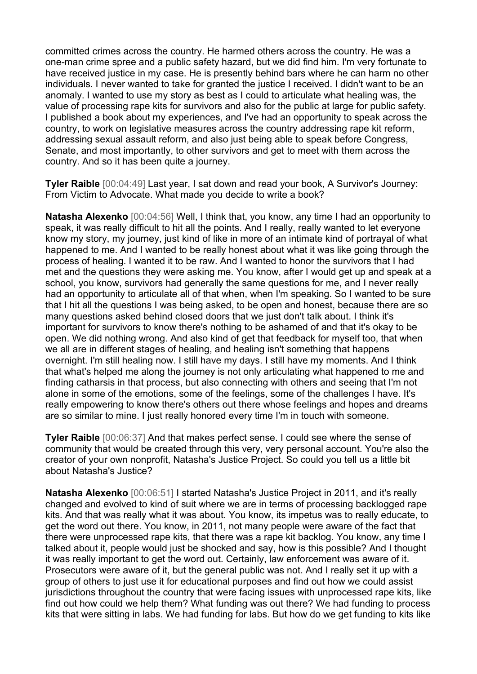committed crimes across the country. He harmed others across the country. He was a one-man crime spree and a public safety hazard, but we did find him. I'm very fortunate to have received justice in my case. He is presently behind bars where he can harm no other individuals. I never wanted to take for granted the justice I received. I didn't want to be an anomaly. I wanted to use my story as best as I could to articulate what healing was, the value of processing rape kits for survivors and also for the public at large for public safety. I published a book about my experiences, and I've had an opportunity to speak across the country, to work on legislative measures across the country addressing rape kit reform, addressing sexual assault reform, and also just being able to speak before Congress, Senate, and most importantly, to other survivors and get to meet with them across the country. And so it has been quite a journey.

**Tyler Raible** [00:04:49] Last year, I sat down and read your book, A Survivor's Journey: From Victim to Advocate. What made you decide to write a book?

**Natasha Alexenko** [00:04:56] Well, I think that, you know, any time I had an opportunity to speak, it was really difficult to hit all the points. And I really, really wanted to let everyone know my story, my journey, just kind of like in more of an intimate kind of portrayal of what happened to me. And I wanted to be really honest about what it was like going through the process of healing. I wanted it to be raw. And I wanted to honor the survivors that I had met and the questions they were asking me. You know, after I would get up and speak at a school, you know, survivors had generally the same questions for me, and I never really had an opportunity to articulate all of that when, when I'm speaking. So I wanted to be sure that I hit all the questions I was being asked, to be open and honest, because there are so many questions asked behind closed doors that we just don't talk about. I think it's important for survivors to know there's nothing to be ashamed of and that it's okay to be open. We did nothing wrong. And also kind of get that feedback for myself too, that when we all are in different stages of healing, and healing isn't something that happens overnight. I'm still healing now. I still have my days. I still have my moments. And I think that what's helped me along the journey is not only articulating what happened to me and finding catharsis in that process, but also connecting with others and seeing that I'm not alone in some of the emotions, some of the feelings, some of the challenges I have. It's really empowering to know there's others out there whose feelings and hopes and dreams are so similar to mine. I just really honored every time I'm in touch with someone.

**Tyler Raible** [00:06:37] And that makes perfect sense. I could see where the sense of community that would be created through this very, very personal account. You're also the creator of your own nonprofit, Natasha's Justice Project. So could you tell us a little bit about Natasha's Justice?

**Natasha Alexenko** [00:06:51] I started Natasha's Justice Project in 2011, and it's really changed and evolved to kind of suit where we are in terms of processing backlogged rape kits. And that was really what it was about. You know, its impetus was to really educate, to get the word out there. You know, in 2011, not many people were aware of the fact that there were unprocessed rape kits, that there was a rape kit backlog. You know, any time I talked about it, people would just be shocked and say, how is this possible? And I thought it was really important to get the word out. Certainly, law enforcement was aware of it. Prosecutors were aware of it, but the general public was not. And I really set it up with a group of others to just use it for educational purposes and find out how we could assist jurisdictions throughout the country that were facing issues with unprocessed rape kits, like find out how could we help them? What funding was out there? We had funding to process kits that were sitting in labs. We had funding for labs. But how do we get funding to kits like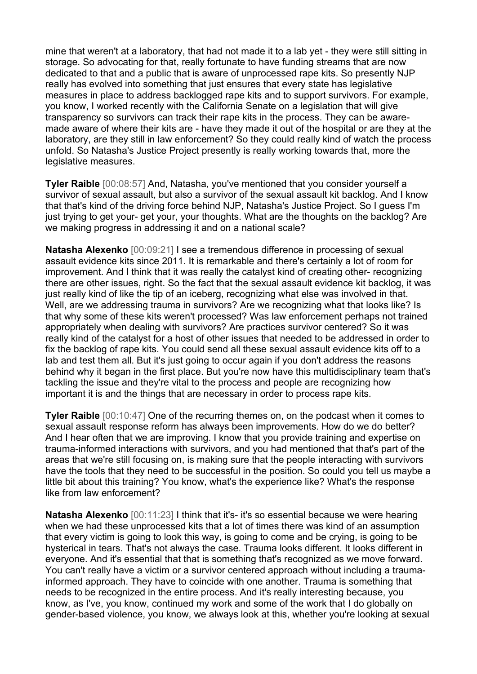mine that weren't at a laboratory, that had not made it to a lab yet - they were still sitting in storage. So advocating for that, really fortunate to have funding streams that are now dedicated to that and a public that is aware of unprocessed rape kits. So presently NJP really has evolved into something that just ensures that every state has legislative measures in place to address backlogged rape kits and to support survivors. For example, you know, I worked recently with the California Senate on a legislation that will give transparency so survivors can track their rape kits in the process. They can be awaremade aware of where their kits are - have they made it out of the hospital or are they at the laboratory, are they still in law enforcement? So they could really kind of watch the process unfold. So Natasha's Justice Project presently is really working towards that, more the legislative measures.

**Tyler Raible** [00:08:57] And, Natasha, you've mentioned that you consider yourself a survivor of sexual assault, but also a survivor of the sexual assault kit backlog. And I know that that's kind of the driving force behind NJP, Natasha's Justice Project. So I guess I'm just trying to get your- get your, your thoughts. What are the thoughts on the backlog? Are we making progress in addressing it and on a national scale?

**Natasha Alexenko** [00:09:21] I see a tremendous difference in processing of sexual assault evidence kits since 2011. It is remarkable and there's certainly a lot of room for improvement. And I think that it was really the catalyst kind of creating other- recognizing there are other issues, right. So the fact that the sexual assault evidence kit backlog, it was just really kind of like the tip of an iceberg, recognizing what else was involved in that. Well, are we addressing trauma in survivors? Are we recognizing what that looks like? Is that why some of these kits weren't processed? Was law enforcement perhaps not trained appropriately when dealing with survivors? Are practices survivor centered? So it was really kind of the catalyst for a host of other issues that needed to be addressed in order to fix the backlog of rape kits. You could send all these sexual assault evidence kits off to a lab and test them all. But it's just going to occur again if you don't address the reasons behind why it began in the first place. But you're now have this multidisciplinary team that's tackling the issue and they're vital to the process and people are recognizing how important it is and the things that are necessary in order to process rape kits.

**Tyler Raible** [00:10:47] One of the recurring themes on, on the podcast when it comes to sexual assault response reform has always been improvements. How do we do better? And I hear often that we are improving. I know that you provide training and expertise on trauma-informed interactions with survivors, and you had mentioned that that's part of the areas that we're still focusing on, is making sure that the people interacting with survivors have the tools that they need to be successful in the position. So could you tell us maybe a little bit about this training? You know, what's the experience like? What's the response like from law enforcement?

**Natasha Alexenko** [00:11:23] I think that it's- it's so essential because we were hearing when we had these unprocessed kits that a lot of times there was kind of an assumption that every victim is going to look this way, is going to come and be crying, is going to be hysterical in tears. That's not always the case. Trauma looks different. It looks different in everyone. And it's essential that that is something that's recognized as we move forward. You can't really have a victim or a survivor centered approach without including a traumainformed approach. They have to coincide with one another. Trauma is something that needs to be recognized in the entire process. And it's really interesting because, you know, as I've, you know, continued my work and some of the work that I do globally on gender-based violence, you know, we always look at this, whether you're looking at sexual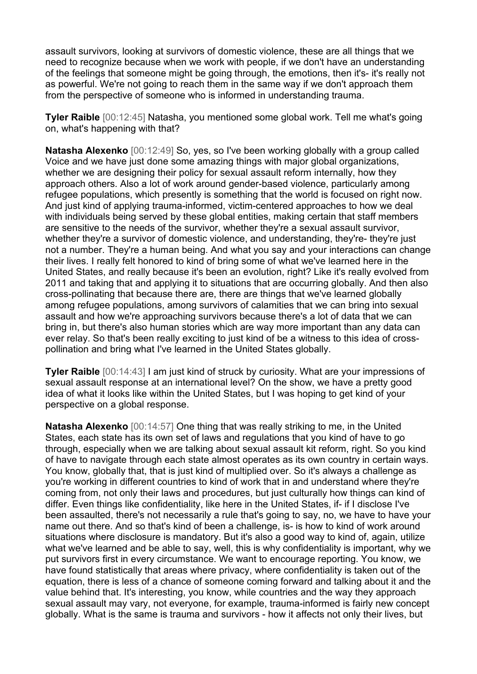assault survivors, looking at survivors of domestic violence, these are all things that we need to recognize because when we work with people, if we don't have an understanding of the feelings that someone might be going through, the emotions, then it's- it's really not as powerful. We're not going to reach them in the same way if we don't approach them from the perspective of someone who is informed in understanding trauma.

**Tyler Raible** [00:12:45] Natasha, you mentioned some global work. Tell me what's going on, what's happening with that?

**Natasha Alexenko** [00:12:49] So, yes, so I've been working globally with a group called Voice and we have just done some amazing things with major global organizations, whether we are designing their policy for sexual assault reform internally, how they approach others. Also a lot of work around gender-based violence, particularly among refugee populations, which presently is something that the world is focused on right now. And just kind of applying trauma-informed, victim-centered approaches to how we deal with individuals being served by these global entities, making certain that staff members are sensitive to the needs of the survivor, whether they're a sexual assault survivor, whether they're a survivor of domestic violence, and understanding, they're- they're just not a number. They're a human being. And what you say and your interactions can change their lives. I really felt honored to kind of bring some of what we've learned here in the United States, and really because it's been an evolution, right? Like it's really evolved from 2011 and taking that and applying it to situations that are occurring globally. And then also cross-pollinating that because there are, there are things that we've learned globally among refugee populations, among survivors of calamities that we can bring into sexual assault and how we're approaching survivors because there's a lot of data that we can bring in, but there's also human stories which are way more important than any data can ever relay. So that's been really exciting to just kind of be a witness to this idea of crosspollination and bring what I've learned in the United States globally.

**Tyler Raible** [00:14:43] I am just kind of struck by curiosity. What are your impressions of sexual assault response at an international level? On the show, we have a pretty good idea of what it looks like within the United States, but I was hoping to get kind of your perspective on a global response.

**Natasha Alexenko** [00:14:57] One thing that was really striking to me, in the United States, each state has its own set of laws and regulations that you kind of have to go through, especially when we are talking about sexual assault kit reform, right. So you kind of have to navigate through each state almost operates as its own country in certain ways. You know, globally that, that is just kind of multiplied over. So it's always a challenge as you're working in different countries to kind of work that in and understand where they're coming from, not only their laws and procedures, but just culturally how things can kind of differ. Even things like confidentiality, like here in the United States, if- if I disclose I've been assaulted, there's not necessarily a rule that's going to say, no, we have to have your name out there. And so that's kind of been a challenge, is- is how to kind of work around situations where disclosure is mandatory. But it's also a good way to kind of, again, utilize what we've learned and be able to say, well, this is why confidentiality is important, why we put survivors first in every circumstance. We want to encourage reporting. You know, we have found statistically that areas where privacy, where confidentiality is taken out of the equation, there is less of a chance of someone coming forward and talking about it and the value behind that. It's interesting, you know, while countries and the way they approach sexual assault may vary, not everyone, for example, trauma-informed is fairly new concept globally. What is the same is trauma and survivors - how it affects not only their lives, but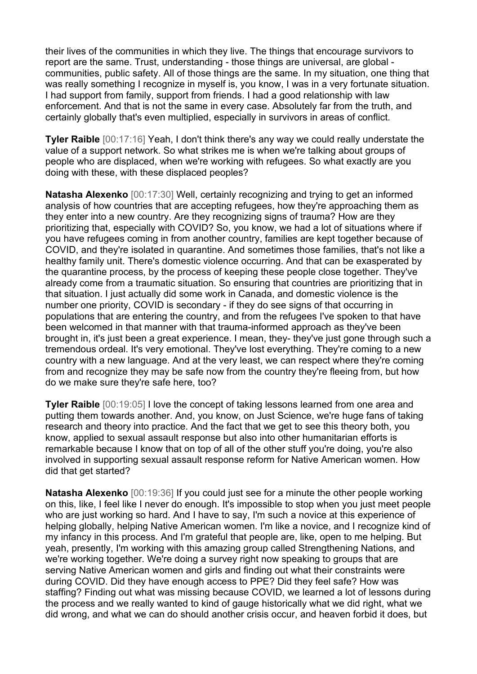their lives of the communities in which they live. The things that encourage survivors to report are the same. Trust, understanding - those things are universal, are global communities, public safety. All of those things are the same. In my situation, one thing that was really something I recognize in myself is, you know, I was in a very fortunate situation. I had support from family, support from friends. I had a good relationship with law enforcement. And that is not the same in every case. Absolutely far from the truth, and certainly globally that's even multiplied, especially in survivors in areas of conflict.

**Tyler Raible** [00:17:16] Yeah, I don't think there's any way we could really understate the value of a support network. So what strikes me is when we're talking about groups of people who are displaced, when we're working with refugees. So what exactly are you doing with these, with these displaced peoples?

**Natasha Alexenko** [00:17:30] Well, certainly recognizing and trying to get an informed analysis of how countries that are accepting refugees, how they're approaching them as they enter into a new country. Are they recognizing signs of trauma? How are they prioritizing that, especially with COVID? So, you know, we had a lot of situations where if you have refugees coming in from another country, families are kept together because of COVID, and they're isolated in quarantine. And sometimes those families, that's not like a healthy family unit. There's domestic violence occurring. And that can be exasperated by the quarantine process, by the process of keeping these people close together. They've already come from a traumatic situation. So ensuring that countries are prioritizing that in that situation. I just actually did some work in Canada, and domestic violence is the number one priority, COVID is secondary - if they do see signs of that occurring in populations that are entering the country, and from the refugees I've spoken to that have been welcomed in that manner with that trauma-informed approach as they've been brought in, it's just been a great experience. I mean, they- they've just gone through such a tremendous ordeal. It's very emotional. They've lost everything. They're coming to a new country with a new language. And at the very least, we can respect where they're coming from and recognize they may be safe now from the country they're fleeing from, but how do we make sure they're safe here, too?

**Tyler Raible** [00:19:05] I love the concept of taking lessons learned from one area and putting them towards another. And, you know, on Just Science, we're huge fans of taking research and theory into practice. And the fact that we get to see this theory both, you know, applied to sexual assault response but also into other humanitarian efforts is remarkable because I know that on top of all of the other stuff you're doing, you're also involved in supporting sexual assault response reform for Native American women. How did that get started?

**Natasha Alexenko** [00:19:36] If you could just see for a minute the other people working on this, like, I feel like I never do enough. It's impossible to stop when you just meet people who are just working so hard. And I have to say, I'm such a novice at this experience of helping globally, helping Native American women. I'm like a novice, and I recognize kind of my infancy in this process. And I'm grateful that people are, like, open to me helping. But yeah, presently, I'm working with this amazing group called Strengthening Nations, and we're working together. We're doing a survey right now speaking to groups that are serving Native American women and girls and finding out what their constraints were during COVID. Did they have enough access to PPE? Did they feel safe? How was staffing? Finding out what was missing because COVID, we learned a lot of lessons during the process and we really wanted to kind of gauge historically what we did right, what we did wrong, and what we can do should another crisis occur, and heaven forbid it does, but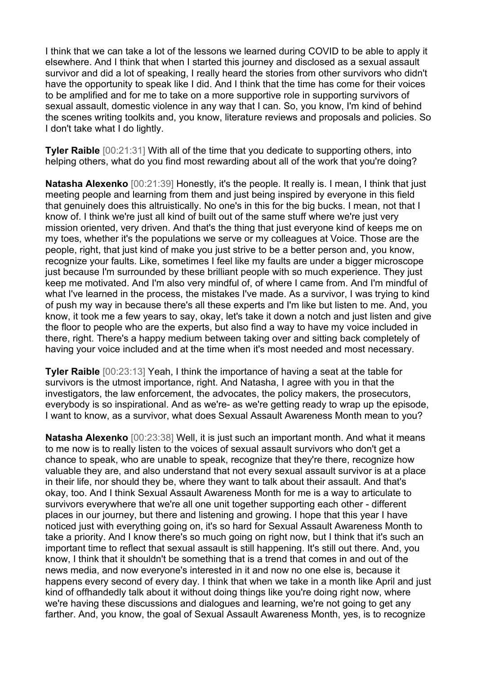I think that we can take a lot of the lessons we learned during COVID to be able to apply it elsewhere. And I think that when I started this journey and disclosed as a sexual assault survivor and did a lot of speaking, I really heard the stories from other survivors who didn't have the opportunity to speak like I did. And I think that the time has come for their voices to be amplified and for me to take on a more supportive role in supporting survivors of sexual assault, domestic violence in any way that I can. So, you know, I'm kind of behind the scenes writing toolkits and, you know, literature reviews and proposals and policies. So I don't take what I do lightly.

**Tyler Raible** [00:21:31] With all of the time that you dedicate to supporting others, into helping others, what do you find most rewarding about all of the work that you're doing?

**Natasha Alexenko** [00:21:39] Honestly, it's the people. It really is. I mean, I think that just meeting people and learning from them and just being inspired by everyone in this field that genuinely does this altruistically. No one's in this for the big bucks. I mean, not that I know of. I think we're just all kind of built out of the same stuff where we're just very mission oriented, very driven. And that's the thing that just everyone kind of keeps me on my toes, whether it's the populations we serve or my colleagues at Voice. Those are the people, right, that just kind of make you just strive to be a better person and, you know, recognize your faults. Like, sometimes I feel like my faults are under a bigger microscope just because I'm surrounded by these brilliant people with so much experience. They just keep me motivated. And I'm also very mindful of, of where I came from. And I'm mindful of what I've learned in the process, the mistakes I've made. As a survivor, I was trying to kind of push my way in because there's all these experts and I'm like but listen to me. And, you know, it took me a few years to say, okay, let's take it down a notch and just listen and give the floor to people who are the experts, but also find a way to have my voice included in there, right. There's a happy medium between taking over and sitting back completely of having your voice included and at the time when it's most needed and most necessary.

**Tyler Raible** [00:23:13] Yeah, I think the importance of having a seat at the table for survivors is the utmost importance, right. And Natasha, I agree with you in that the investigators, the law enforcement, the advocates, the policy makers, the prosecutors, everybody is so inspirational. And as we're- as we're getting ready to wrap up the episode, I want to know, as a survivor, what does Sexual Assault Awareness Month mean to you?

**Natasha Alexenko** [00:23:38] Well, it is just such an important month. And what it means to me now is to really listen to the voices of sexual assault survivors who don't get a chance to speak, who are unable to speak, recognize that they're there, recognize how valuable they are, and also understand that not every sexual assault survivor is at a place in their life, nor should they be, where they want to talk about their assault. And that's okay, too. And I think Sexual Assault Awareness Month for me is a way to articulate to survivors everywhere that we're all one unit together supporting each other - different places in our journey, but there and listening and growing. I hope that this year I have noticed just with everything going on, it's so hard for Sexual Assault Awareness Month to take a priority. And I know there's so much going on right now, but I think that it's such an important time to reflect that sexual assault is still happening. It's still out there. And, you know, I think that it shouldn't be something that is a trend that comes in and out of the news media, and now everyone's interested in it and now no one else is, because it happens every second of every day. I think that when we take in a month like April and just kind of offhandedly talk about it without doing things like you're doing right now, where we're having these discussions and dialogues and learning, we're not going to get any farther. And, you know, the goal of Sexual Assault Awareness Month, yes, is to recognize